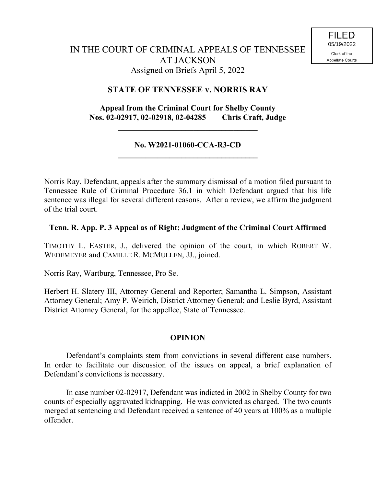## **STATE OF TENNESSEE v. NORRIS RAY**

## **Appeal from the Criminal Court for Shelby County Nos. 02-02917, 02-02918, 02-04285 Chris Craft, Judge**

**\_\_\_\_\_\_\_\_\_\_\_\_\_\_\_\_\_\_\_\_\_\_\_\_\_\_\_\_\_\_\_\_\_\_\_**

#### **No. W2021-01060-CCA-R3-CD \_\_\_\_\_\_\_\_\_\_\_\_\_\_\_\_\_\_\_\_\_\_\_\_\_\_\_\_\_\_\_\_\_\_\_**

Norris Ray, Defendant, appeals after the summary dismissal of a motion filed pursuant to Tennessee Rule of Criminal Procedure 36.1 in which Defendant argued that his life sentence was illegal for several different reasons. After a review, we affirm the judgment of the trial court.

#### **Tenn. R. App. P. 3 Appeal as of Right; Judgment of the Criminal Court Affirmed**

TIMOTHY L. EASTER, J., delivered the opinion of the court, in which ROBERT W. WEDEMEYER and CAMILLE R. MCMULLEN, JJ., joined.

Norris Ray, Wartburg, Tennessee, Pro Se.

Herbert H. Slatery III, Attorney General and Reporter; Samantha L. Simpson, Assistant Attorney General; Amy P. Weirich, District Attorney General; and Leslie Byrd, Assistant District Attorney General, for the appellee, State of Tennessee.

# **OPINION**

Defendant's complaints stem from convictions in several different case numbers. In order to facilitate our discussion of the issues on appeal, a brief explanation of Defendant's convictions is necessary.

In case number 02-02917, Defendant was indicted in 2002 in Shelby County for two counts of especially aggravated kidnapping. He was convicted as charged. The two counts merged at sentencing and Defendant received a sentence of 40 years at 100% as a multiple offender.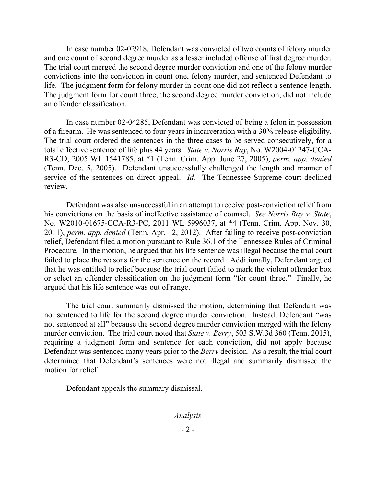In case number 02-02918, Defendant was convicted of two counts of felony murder and one count of second degree murder as a lesser included offense of first degree murder. The trial court merged the second degree murder conviction and one of the felony murder convictions into the conviction in count one, felony murder, and sentenced Defendant to life. The judgment form for felony murder in count one did not reflect a sentence length. The judgment form for count three, the second degree murder conviction, did not include an offender classification.

In case number 02-04285, Defendant was convicted of being a felon in possession of a firearm. He was sentenced to four years in incarceration with a 30% release eligibility. The trial court ordered the sentences in the three cases to be served consecutively, for a total effective sentence of life plus 44 years. *State v. Norris Ray*, No. W2004-01247-CCA-R3-CD, 2005 WL 1541785, at \*1 (Tenn. Crim. App. June 27, 2005), *perm. app. denied* (Tenn. Dec. 5, 2005). Defendant unsuccessfully challenged the length and manner of service of the sentences on direct appeal. *Id.* The Tennessee Supreme court declined review.

Defendant was also unsuccessful in an attempt to receive post-conviction relief from his convictions on the basis of ineffective assistance of counsel. *See Norris Ray v. State*, No. W2010-01675-CCA-R3-PC, 2011 WL 5996037, at \*4 (Tenn. Crim. App. Nov. 30, 2011), *perm. app. denied* (Tenn. Apr. 12, 2012). After failing to receive post-conviction relief, Defendant filed a motion pursuant to Rule 36.1 of the Tennessee Rules of Criminal Procedure. In the motion, he argued that his life sentence was illegal because the trial court failed to place the reasons for the sentence on the record. Additionally, Defendant argued that he was entitled to relief because the trial court failed to mark the violent offender box or select an offender classification on the judgment form "for count three." Finally, he argued that his life sentence was out of range.

The trial court summarily dismissed the motion, determining that Defendant was not sentenced to life for the second degree murder conviction. Instead, Defendant "was not sentenced at all" because the second degree murder conviction merged with the felony murder conviction. The trial court noted that *State v. Berry*, 503 S.W.3d 360 (Tenn. 2015), requiring a judgment form and sentence for each conviction, did not apply because Defendant was sentenced many years prior to the *Berry* decision. As a result, the trial court determined that Defendant's sentences were not illegal and summarily dismissed the motion for relief.

Defendant appeals the summary dismissal.

*Analysis*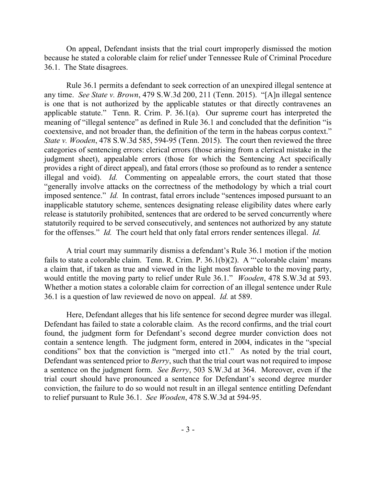On appeal, Defendant insists that the trial court improperly dismissed the motion because he stated a colorable claim for relief under Tennessee Rule of Criminal Procedure 36.1. The State disagrees.

Rule 36.1 permits a defendant to seek correction of an unexpired illegal sentence at any time. *See State v. Brown*, 479 S.W.3d 200, 211 (Tenn. 2015). "[A]n illegal sentence is one that is not authorized by the applicable statutes or that directly contravenes an applicable statute." Tenn. R. Crim. P. 36.1(a). Our supreme court has interpreted the meaning of "illegal sentence" as defined in Rule 36.1 and concluded that the definition "is coextensive, and not broader than, the definition of the term in the habeas corpus context." *State v. Wooden*, 478 S.W.3d 585, 594-95 (Tenn. 2015). The court then reviewed the three categories of sentencing errors: clerical errors (those arising from a clerical mistake in the judgment sheet), appealable errors (those for which the Sentencing Act specifically provides a right of direct appeal), and fatal errors (those so profound as to render a sentence illegal and void). *Id.* Commenting on appealable errors, the court stated that those "generally involve attacks on the correctness of the methodology by which a trial court imposed sentence." *Id.* In contrast, fatal errors include "sentences imposed pursuant to an inapplicable statutory scheme, sentences designating release eligibility dates where early release is statutorily prohibited, sentences that are ordered to be served concurrently where statutorily required to be served consecutively, and sentences not authorized by any statute for the offenses." *Id.* The court held that only fatal errors render sentences illegal. *Id.*

A trial court may summarily dismiss a defendant's Rule 36.1 motion if the motion fails to state a colorable claim. Tenn. R. Crim. P. 36.1(b)(2). A "'colorable claim' means a claim that, if taken as true and viewed in the light most favorable to the moving party, would entitle the moving party to relief under Rule 36.1." *Wooden*, 478 S.W.3d at 593. Whether a motion states a colorable claim for correction of an illegal sentence under Rule 36.1 is a question of law reviewed de novo on appeal. *Id.* at 589.

Here, Defendant alleges that his life sentence for second degree murder was illegal. Defendant has failed to state a colorable claim. As the record confirms, and the trial court found, the judgment form for Defendant's second degree murder conviction does not contain a sentence length. The judgment form, entered in 2004, indicates in the "special conditions" box that the conviction is "merged into ct1." As noted by the trial court, Defendant was sentenced prior to *Berry*, such that the trial court was not required to impose a sentence on the judgment form. *See Berry*, 503 S.W.3d at 364. Moreover, even if the trial court should have pronounced a sentence for Defendant's second degree murder conviction, the failure to do so would not result in an illegal sentence entitling Defendant to relief pursuant to Rule 36.1. *See Wooden*, 478 S.W.3d at 594-95.